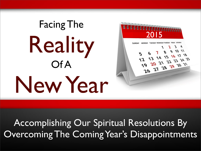## Facing The Reality Of A New Year



Accomplishing Our Spiritual Resolutions By Overcoming The Coming Year's Disappointments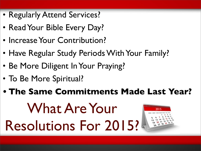- Regularly Attend Services?
- Read Your Bible Every Day?
- Increase Your Contribution?
- Have Regular Study Periods With Your Family?
- Be More Diligent In Your Praying?
- To Be More Spiritual?

#### **• The Same Commitments Made Last Year?**

### What Are Your Resolutions For 2015?

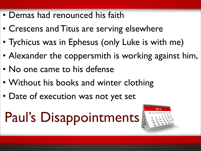- Demas had renounced his faith
- Crescens and Titus are serving elsewhere
- Tychicus was in Ephesus (only Luke is with me)
- Alexander the coppersmith is working against him,
- No one came to his defense
- Without his books and winter clothing
- Date of execution was not yet set

### Paul's Disappointments

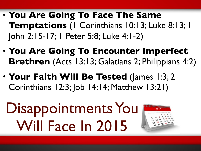- **You Are Going To Face The Same Temptations** (1 Corinthians 10:13; Luke 8:13; 1 John 2:15-17; 1 Peter 5:8; Luke 4:1-2)
- **You Are Going To Encounter Imperfect Brethren** (Acts 13:13; Galatians 2; Philippians 4:2)
- **Your Faith Will Be Tested** (James 1:3; 2 Corinthians 12:3; Job 14:14; Matthew 13:21)
	- Disappointments You Will Face In 2015

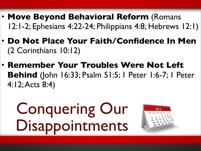- **Move Beyond Behavioral Reform** (Romans 12:1-2; Ephesians 4:22-24; Philippians 4:8; Hebrews 12:1)
- **Do Not Place Your Faith/Confidence In Men** (2 Corinthians 10:12)
- **Remember Your Troubles Were Not Left Behind** (John 16:33; Psalm 51:5; 1 Peter 1:6-7; 1 Peter 4:12; Acts 8:4)

Conquering Our Disappointments